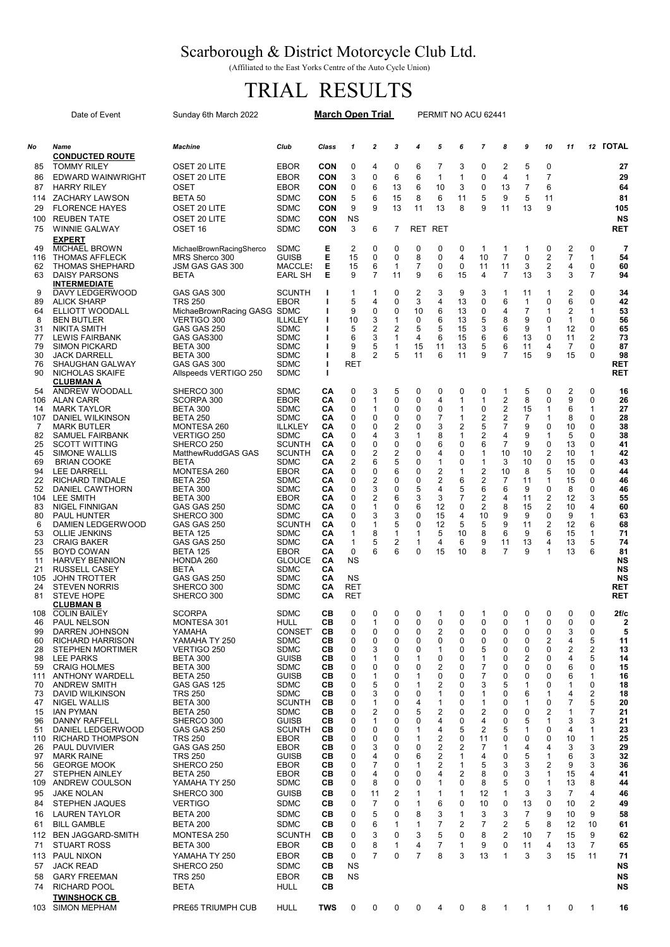## Scarborough & District Motorcycle Club Ltd.

(Affiliated to the East Yorks Centre of the Auto Cycle Union)

## TRIAL RESULTS

|                                                                                                                                                                                 | Date of Event                                                                                                                                                                                                                                                                                                                                                                                                                                                                                                                                                                                                                                                                         | Sunday 6th March 2022                                                                                                                                                                                                                                                                                                                                                                                                                                                                              |                                                                                                                                                                                                                                                                                                                                                                                                                                                                      | <b>March Open Trial</b>                                                                                                                                                          |                                                                                                                                                        |                                                                                                                                                   |                                                                                                                                                | PERMIT NO ACU 62441                                                                                                                                         |                                                                                                                                |                                                                                                                                                  |                                                                                                                                                                                                                           |                                                                                                                                                |                                                                                                                                                     |                                                                                                                                                                        |                                                                                                                                              |                                                                                                                                                                            |                                                                                                                                                                                                       |
|---------------------------------------------------------------------------------------------------------------------------------------------------------------------------------|---------------------------------------------------------------------------------------------------------------------------------------------------------------------------------------------------------------------------------------------------------------------------------------------------------------------------------------------------------------------------------------------------------------------------------------------------------------------------------------------------------------------------------------------------------------------------------------------------------------------------------------------------------------------------------------|----------------------------------------------------------------------------------------------------------------------------------------------------------------------------------------------------------------------------------------------------------------------------------------------------------------------------------------------------------------------------------------------------------------------------------------------------------------------------------------------------|----------------------------------------------------------------------------------------------------------------------------------------------------------------------------------------------------------------------------------------------------------------------------------------------------------------------------------------------------------------------------------------------------------------------------------------------------------------------|----------------------------------------------------------------------------------------------------------------------------------------------------------------------------------|--------------------------------------------------------------------------------------------------------------------------------------------------------|---------------------------------------------------------------------------------------------------------------------------------------------------|------------------------------------------------------------------------------------------------------------------------------------------------|-------------------------------------------------------------------------------------------------------------------------------------------------------------|--------------------------------------------------------------------------------------------------------------------------------|--------------------------------------------------------------------------------------------------------------------------------------------------|---------------------------------------------------------------------------------------------------------------------------------------------------------------------------------------------------------------------------|------------------------------------------------------------------------------------------------------------------------------------------------|-----------------------------------------------------------------------------------------------------------------------------------------------------|------------------------------------------------------------------------------------------------------------------------------------------------------------------------|----------------------------------------------------------------------------------------------------------------------------------------------|----------------------------------------------------------------------------------------------------------------------------------------------------------------------------|-------------------------------------------------------------------------------------------------------------------------------------------------------------------------------------------------------|
| No                                                                                                                                                                              | Name                                                                                                                                                                                                                                                                                                                                                                                                                                                                                                                                                                                                                                                                                  | <b>Machine</b>                                                                                                                                                                                                                                                                                                                                                                                                                                                                                     | Club                                                                                                                                                                                                                                                                                                                                                                                                                                                                 | Class                                                                                                                                                                            | 1                                                                                                                                                      | $\boldsymbol{2}$                                                                                                                                  | 3                                                                                                                                              | 4                                                                                                                                                           | 5                                                                                                                              | 6                                                                                                                                                | $\overline{7}$                                                                                                                                                                                                            | 8                                                                                                                                              | 9                                                                                                                                                   | 10                                                                                                                                                                     | 11                                                                                                                                           |                                                                                                                                                                            | 12 TOTAL                                                                                                                                                                                              |
| 85<br>86<br>87                                                                                                                                                                  | <b>CONDUCTED ROUTE</b><br><b>TOMMY RILEY</b><br>EDWARD WAINWRIGHT<br><b>HARRY RILEY</b>                                                                                                                                                                                                                                                                                                                                                                                                                                                                                                                                                                                               | OSET 20 LITE<br>OSET 20 LITE<br><b>OSET</b>                                                                                                                                                                                                                                                                                                                                                                                                                                                        | <b>EBOR</b><br><b>EBOR</b><br><b>EBOR</b>                                                                                                                                                                                                                                                                                                                                                                                                                            | <b>CON</b><br><b>CON</b><br>CON                                                                                                                                                  | 0<br>3<br>0                                                                                                                                            | 4<br>0<br>6                                                                                                                                       | 0<br>6<br>13                                                                                                                                   | 6<br>6<br>6                                                                                                                                                 | 7<br>$\mathbf{1}$<br>10                                                                                                        | 3<br>1<br>3                                                                                                                                      | 0<br>$\mathbf 0$<br>0                                                                                                                                                                                                     | $\overline{2}$<br>$\overline{4}$<br>13                                                                                                         | 5<br>$\mathbf{1}$<br>$\overline{7}$                                                                                                                 | 0<br>$\overline{7}$<br>6                                                                                                                                               |                                                                                                                                              |                                                                                                                                                                            | 27<br>29<br>64                                                                                                                                                                                        |
| 114<br>29<br>100                                                                                                                                                                | <b>ZACHARY LAWSON</b><br><b>FLORENCE HAYES</b><br><b>REUBEN TATE</b>                                                                                                                                                                                                                                                                                                                                                                                                                                                                                                                                                                                                                  | BETA 50<br>OSET 20 LITE<br>OSET 20 LITE                                                                                                                                                                                                                                                                                                                                                                                                                                                            | <b>SDMC</b><br><b>SDMC</b><br><b>SDMC</b>                                                                                                                                                                                                                                                                                                                                                                                                                            | CON<br>CON<br><b>CON</b>                                                                                                                                                         | 5<br>9<br>ΝS                                                                                                                                           | 6<br>9                                                                                                                                            | 15<br>13                                                                                                                                       | 8<br>11                                                                                                                                                     | 6<br>13                                                                                                                        | 11<br>8                                                                                                                                          | 5<br>9                                                                                                                                                                                                                    | 9<br>11                                                                                                                                        | 5<br>13                                                                                                                                             | 11<br>9                                                                                                                                                                |                                                                                                                                              |                                                                                                                                                                            | 81<br>105<br><b>NS</b>                                                                                                                                                                                |
| 75<br>49                                                                                                                                                                        | <b>WINNIE GALWAY</b><br><b>EXPERT</b><br><b>MICHAEL BROWN</b>                                                                                                                                                                                                                                                                                                                                                                                                                                                                                                                                                                                                                         | OSET <sub>16</sub><br>MichaelBrownRacingSherco                                                                                                                                                                                                                                                                                                                                                                                                                                                     | <b>SDMC</b><br><b>SDMC</b>                                                                                                                                                                                                                                                                                                                                                                                                                                           | <b>CON</b><br>Е                                                                                                                                                                  | 3<br>2                                                                                                                                                 | 6<br>$\Omega$                                                                                                                                     | 7<br>0                                                                                                                                         | RET<br>0                                                                                                                                                    | <b>RET</b><br>0                                                                                                                | 0                                                                                                                                                | $\mathbf{1}$                                                                                                                                                                                                              | 1                                                                                                                                              | 1                                                                                                                                                   | 0                                                                                                                                                                      | 2                                                                                                                                            | 0                                                                                                                                                                          | <b>RET</b><br>$\overline{7}$                                                                                                                                                                          |
| 116<br>62<br>63                                                                                                                                                                 | <b>THOMAS AFFLECK</b><br><b>THOMAS SHEPHARD</b><br><b>DAISY PARSONS</b><br><b>INTERMEDIATE</b>                                                                                                                                                                                                                                                                                                                                                                                                                                                                                                                                                                                        | MRS Sherco 300<br>JSM GAS GAS 300<br><b>BETA</b>                                                                                                                                                                                                                                                                                                                                                                                                                                                   | <b>GUISB</b><br><b>MACCLES</b><br><b>EARL SH</b>                                                                                                                                                                                                                                                                                                                                                                                                                     | Е<br>Е<br>Е                                                                                                                                                                      | 15<br>15<br>9                                                                                                                                          | 0<br>6<br>$\overline{7}$                                                                                                                          | 0<br>$\mathbf{1}$<br>11                                                                                                                        | 8<br>$\overline{7}$<br>9                                                                                                                                    | 0<br>0<br>6                                                                                                                    | 4<br>0<br>15                                                                                                                                     | 10<br>11<br>4                                                                                                                                                                                                             | $\overline{7}$<br>11<br>$\overline{7}$                                                                                                         | 0<br>3<br>13                                                                                                                                        | 2<br>2<br>3                                                                                                                                                            | 7<br>4<br>3                                                                                                                                  | $\mathbf{1}$<br>0<br>$\overline{7}$                                                                                                                                        | 54<br>60<br>94                                                                                                                                                                                        |
| 9<br>89<br>64<br>8<br>31<br>77<br>79<br>30<br>76<br>90                                                                                                                          | DAVY LEDGERWOOD<br><b>ALICK SHARP</b><br>ELLIOTT WOODALL<br><b>BEN BUTLER</b><br><b>NIKITA SMITH</b><br><b>LEWIS FAIRBANK</b><br><b>SIMON PICKARD</b><br><b>JACK DARRELL</b><br><b>SHAUGHAN GALWAY</b><br>NICHOLAS SKAIFE<br><b>CLUBMAN A</b>                                                                                                                                                                                                                                                                                                                                                                                                                                         | GAS GAS 300<br><b>TRS 250</b><br>MichaeBrownRacing GASG SDMC<br>VERTIGO 300<br>GAS GAS 250<br>GAS GAS300<br><b>BETA 300</b><br><b>BETA 300</b><br>GAS GAS 300<br>Allspeeds VERTIGO 250                                                                                                                                                                                                                                                                                                             | <b>SCUNTH</b><br><b>EBOR</b><br><b>ILLKLEY</b><br><b>SDMC</b><br><b>SDMC</b><br><b>SDMC</b><br><b>SDMC</b><br><b>SDMC</b><br><b>SDMC</b>                                                                                                                                                                                                                                                                                                                             | ı<br>ı<br>ı<br>т                                                                                                                                                                 | 1<br>5<br>9<br>10<br>5<br>6<br>9<br>8<br>RET                                                                                                           | $\mathbf{1}$<br>4<br>0<br>3<br>2<br>3<br>5<br>2                                                                                                   | 0<br>0<br>0<br>1<br>$\overline{2}$<br>$\mathbf{1}$<br>1<br>5                                                                                   | 2<br>3<br>10<br>0<br>5<br>4<br>15<br>11                                                                                                                     | 3<br>$\overline{4}$<br>6<br>6<br>5<br>6<br>11<br>6                                                                             | 9<br>13<br>13<br>13<br>15<br>15<br>13<br>11                                                                                                      | 3<br>0<br>0<br>5<br>3<br>6<br>5<br>9                                                                                                                                                                                      | 1<br>6<br>4<br>8<br>6<br>6<br>6<br>7                                                                                                           | 11<br>$\mathbf{1}$<br>$\overline{7}$<br>9<br>9<br>13<br>11<br>15                                                                                    | 1<br>0<br>1<br>0<br>$\mathbf{1}$<br>$\mathbf 0$<br>4<br>9                                                                                                              | 2<br>6<br>2<br>1<br>12<br>11<br>7<br>15                                                                                                      | 0<br>0<br>$\mathbf{1}$<br>0<br>0<br>2<br>$\Omega$<br>0                                                                                                                     | 34<br>42<br>53<br>56<br>65<br>73<br>87<br>98<br><b>RET</b><br><b>RET</b>                                                                                                                              |
| 54<br>106<br>14<br>107<br>7<br>82<br>25<br>45<br>69<br>94<br>22<br>52<br>104<br>83<br>80<br>6<br>53<br>23<br>55<br>11<br>21<br>105<br>24<br>81                                  | ANDREW WOODALL<br><b>ALAN CARR</b><br><b>MARK TAYLOR</b><br>DANIEL WILKINSON<br><b>MARK BUTLER</b><br><b>SAMUEL FAIRBANK</b><br><b>SCOTT WITTING</b><br><b>SIMONE WALLIS</b><br><b>BRIAN COOKE</b><br><b>LEE DARRELL</b><br><b>RICHARD TINDALE</b><br>DANIEL CAWTHORN<br>LEE SMITH<br><b>NIGEL FINNIGAN</b><br><b>PAUL HUNTER</b><br>DAMIEN LEDGERWOOD<br><b>OLLIE JENKINS</b><br><b>CRAIG BAKER</b><br><b>BOYD COWAN</b><br><b>HARVEY BENNION</b><br><b>RUSSELL CASEY</b><br><b>JOHN TROTTER</b><br><b>STEVEN NORRIS</b><br><b>STEVE HOPE</b><br><b>CLUBMAN B</b>                                                                                                                    | SHERCO 300<br>SCORPA 300<br>BETA 300<br><b>BETA 250</b><br>MONTESA 260<br>VERTIGO 250<br>SHERCO 250<br>MatthewRuddGAS GAS<br><b>BETA</b><br>MONTESA 260<br><b>BETA 250</b><br><b>BETA 300</b><br><b>BETA 300</b><br>GAS GAS 250<br>SHERCO 300<br>GAS GAS 250<br><b>BETA 125</b><br>GAS GAS 250<br><b>BETA 125</b><br>HONDA 260<br><b>BETA</b><br>GAS GAS 250<br>SHERCO 300<br>SHERCO 300                                                                                                           | <b>SDMC</b><br><b>EBOR</b><br><b>SDMC</b><br><b>SDMC</b><br><b>ILLKLEY</b><br><b>SDMC</b><br><b>SCUNTH</b><br><b>SCUNTH</b><br><b>SDMC</b><br><b>EBOR</b><br><b>SDMC</b><br><b>SDMC</b><br><b>EBOR</b><br><b>SDMC</b><br><b>SDMC</b><br><b>SCUNTH</b><br><b>SDMC</b><br><b>SDMC</b><br><b>EBOR</b><br><b>GLOUCE</b><br><b>SDMC</b><br><b>SDMC</b><br><b>SDMC</b><br><b>SDMC</b>                                                                                      | CA<br>CA<br>CА<br>CА<br>CА<br>CА<br>CА<br>CA<br>CA<br>CA<br>CА<br>CА<br>CA<br>CА<br>CА<br>CA<br>CА<br>CA<br>CА<br>CА<br>CА<br>CA<br>CА<br>CА                                     | 0<br>0<br>0<br>0<br>0<br>0<br>0<br>0<br>$\overline{2}$<br>0<br>0<br>0<br>0<br>0<br>0<br>0<br>1<br>1<br>0<br><b>NS</b><br>ΝS<br>RET<br>RET              | 3<br>1<br>1<br>0<br>0<br>4<br>0<br>2<br>6<br>0<br>2<br>3<br>2<br>1<br>3<br>1<br>8<br>5<br>6                                                       | 5<br>$\mathbf 0$<br>0<br>0<br>$\overline{\mathbf{c}}$<br>3<br>$\mathbf 0$<br>2<br>5<br>6<br>0<br>0<br>6<br>0<br>3<br>5<br>1<br>2<br>6          | 0<br>0<br>0<br>0<br>0<br>$\mathbf{1}$<br>0<br>0<br>0<br>0<br>0<br>5<br>3<br>6<br>0<br>0<br>1<br>1<br>0                                                      | 0<br>4<br>$\mathbf 0$<br>7<br>3<br>8<br>6<br>4<br>1<br>2<br>2<br>4<br>3<br>12<br>15<br>12<br>5<br>4<br>15                      | 0<br>1<br>1<br>1<br>2<br>1<br>0<br>0<br>0<br>1<br>6<br>5<br>$\overline{7}$<br>0<br>4<br>5<br>10<br>6<br>10                                       | 0<br>$\mathbf{1}$<br>0<br>2<br>5<br>$\overline{\mathbf{c}}$<br>6<br>$\mathbf{1}$<br>$\mathbf{1}$<br>$\overline{\mathbf{c}}$<br>$\overline{2}$<br>6<br>$\overline{\mathbf{c}}$<br>$\overline{2}$<br>10<br>5<br>8<br>9<br>8 | 1<br>2<br>$\overline{\mathbf{c}}$<br>2<br>7<br>4<br>7<br>10<br>3<br>10<br>$\overline{7}$<br>6<br>4<br>8<br>9<br>9<br>6<br>11<br>$\overline{7}$ | 5<br>8<br>15<br>$\overline{7}$<br>9<br>9<br>9<br>10<br>10<br>8<br>11<br>9<br>11<br>15<br>9<br>11<br>9<br>13<br>9                                    | 0<br>$\Omega$<br>1<br>$\mathbf{1}$<br>0<br>1<br>$\mathbf 0$<br>2<br>0<br>5<br>1<br>$\mathbf 0$<br>$\overline{2}$<br>$\overline{2}$<br>0<br>2<br>6<br>4<br>$\mathbf{1}$ | 2<br>9<br>6<br>8<br>10<br>5<br>13<br>10<br>15<br>10<br>15<br>8<br>12<br>10<br>9<br>12<br>15<br>13<br>13                                      | 0<br>0<br>$\mathbf{1}$<br>0<br>0<br>0<br>0<br>1<br>0<br>0<br>0<br>0<br>3<br>4<br>1<br>6<br>$\mathbf{1}$<br>5<br>6                                                          | 16<br>26<br>27<br>28<br>38<br>38<br>41<br>42<br>43<br>44<br>46<br>46<br>55<br>60<br>63<br>68<br>71<br>74<br>81<br>NS<br>NS<br><b>NS</b><br>RET<br><b>RET</b>                                          |
| 108<br>46<br>99<br>60<br>28<br>98<br>59<br>70<br>73<br>47<br>15<br>96<br>51<br>110<br>26<br>97<br>56<br>27<br>109<br>95<br>84<br>16<br>61<br>112<br>71<br>113<br>57<br>58<br>74 | <b>COLIN BAILEY</b><br><b>PAUL NELSON</b><br>DARREN JOHNSON<br><b>RICHARD HARRISON</b><br><b>STEPHEN MORTIMER</b><br>LEE PARKS<br><b>CRAIG HOLMES</b><br>111 ANTHONY WARDELL<br><b>ANDREW SMITH</b><br>DAVID WILKINSON<br><b>NIGEL WALLIS</b><br><b>IAN PYMAN</b><br>DANNY RAFFELL<br>DANIEL LEDGERWOOD<br><b>RICHARD THOMPSON</b><br><b>PAUL DUVIVIER</b><br><b>MARK RAINE</b><br><b>GEORGE MOOK</b><br><b>STEPHEN AINLEY</b><br>ANDREW COULSON<br><b>JAKE NOLAN</b><br><b>STEPHEN JAQUES</b><br><b>LAUREN TAYLOR</b><br><b>BILL GAMBLE</b><br><b>BEN JAGGARD-SMITH</b><br><b>STUART ROSS</b><br><b>PAUL NIXON</b><br><b>JACK READ</b><br><b>GARY FREEMAN</b><br><b>RICHARD POOL</b> | <b>SCORPA</b><br>MONTESA 301<br>YAMAHA<br>YAMAHA TY 250<br>VERTIGO 250<br>BETA 300<br>BETA 300<br><b>BETA 250</b><br>GAS GAS 125<br><b>TRS 250</b><br><b>BETA 300</b><br><b>BETA 250</b><br>SHERCO 300<br>GAS GAS 250<br><b>TRS 250</b><br>GAS GAS 250<br><b>TRS 250</b><br>SHERCO 250<br><b>BETA 250</b><br>YAMAHA TY 250<br>SHERCO 300<br><b>VERTIGO</b><br><b>BETA 200</b><br><b>BETA 200</b><br>MONTESA 250<br><b>BETA 300</b><br>YAMAHA TY 250<br>SHERCO 250<br><b>TRS 250</b><br><b>BETA</b> | <b>SDMC</b><br>HULL<br><b>CONSET</b><br><b>SDMC</b><br><b>SDMC</b><br><b>GUISB</b><br><b>SDMC</b><br><b>GUISB</b><br><b>SDMC</b><br><b>SDMC</b><br><b>SCUNTH</b><br><b>SDMC</b><br><b>GUISB</b><br><b>SCUNTH</b><br><b>EBOR</b><br><b>EBOR</b><br><b>GUISB</b><br><b>EBOR</b><br><b>EBOR</b><br><b>SDMC</b><br><b>GUISB</b><br><b>SDMC</b><br><b>SDMC</b><br><b>SDMC</b><br><b>SCUNTH</b><br><b>EBOR</b><br><b>EBOR</b><br><b>SDMC</b><br><b>EBOR</b><br><b>HULL</b> | CВ<br>CВ<br>CВ<br>CВ<br>CВ<br>CВ<br>CВ<br>CВ<br>CВ<br>CВ<br>CВ<br>CВ<br>CВ<br>CВ<br>CВ<br>CВ<br>CВ<br>CВ<br>CВ<br>CВ<br>CВ<br>CВ<br>CВ<br>CВ<br>CВ<br>CВ<br>CВ<br>CВ<br>CВ<br>CВ | 0<br>0<br>0<br>0<br>0<br>0<br>0<br>0<br>0<br>0<br>0<br>0<br>0<br>0<br>0<br>0<br>0<br>0<br>0<br>0<br>0<br>0<br>0<br>0<br>0<br>0<br>0<br>ΝS<br><b>NS</b> | 0<br>1<br>0<br>0<br>3<br>1<br>0<br>1<br>5<br>3<br>1<br>2<br>1<br>0<br>0<br>3<br>4<br>7<br>4<br>8<br>11<br>7<br>5<br>6<br>3<br>8<br>$\overline{7}$ | $\mathbf{0}$<br>0<br>0<br>0<br>0<br>0<br>0<br>0<br>0<br>0<br>0<br>0<br>0<br>0<br>0<br>0<br>0<br>0<br>0<br>0<br>2<br>0<br>0<br>1<br>0<br>1<br>0 | 0<br>0<br>0<br>0<br>0<br>1<br>0<br>1<br>1<br>0<br>4<br>5<br>0<br>$\mathbf{1}$<br>1<br>0<br>6<br>1<br>0<br>0<br>1<br>1<br>8<br>1<br>3<br>4<br>$\overline{7}$ | 0<br>2<br>0<br>1<br>0<br>2<br>0<br>2<br>1<br>1<br>2<br>4<br>4<br>2<br>2<br>2<br>2<br>4<br>1<br>1<br>6<br>3<br>7<br>5<br>7<br>8 | 0<br>0<br>0<br>0<br>0<br>0<br>0<br>0<br>0<br>0<br>0<br>0<br>0<br>5<br>0<br>$\overline{2}$<br>1<br>1<br>2<br>0<br>1<br>0<br>1<br>2<br>0<br>1<br>3 | $\mathbf{1}$<br>0<br>0<br>0<br>5<br>$\mathbf{1}$<br>7<br>7<br>3<br>-1<br>1<br>2<br>4<br>2<br>11<br>7<br>4<br>5<br>8<br>8<br>12<br>10<br>3<br>7<br>8<br>9<br>13                                                            | 0<br>0<br>0<br>0<br>0<br>0<br>0<br>0<br>5<br>0<br>0<br>0<br>0<br>5<br>0<br>1<br>0<br>3<br>0<br>5<br>1<br>0<br>3<br>2<br>2<br>0<br>1            | 0<br>1<br>0<br>0<br>0<br>2<br>0<br>0<br>1<br>6<br>1<br>0<br>5<br>1<br>0<br>4<br>5<br>3<br>3<br>0<br>3<br>13<br>$\overline{7}$<br>5<br>10<br>11<br>3 | $\mathbf 0$<br>0<br>0<br>2<br>0<br>0<br>0<br>0<br>0<br>1<br>0<br>2<br>1<br>0<br>0<br>4<br>1<br>2<br>1<br>1<br>3<br>0<br>9<br>8<br>$\overline{7}$<br>4<br>3             | 0<br>0<br>3<br>4<br>2<br>4<br>6<br>6<br>1<br>4<br>7<br>1<br>3<br>4<br>10<br>3<br>6<br>9<br>15<br>13<br>7<br>10<br>10<br>12<br>15<br>13<br>15 | 0<br>0<br>0<br>5<br>2<br>5<br>0<br>1<br>0<br>$\overline{c}$<br>5<br>7<br>3<br>1<br>$\mathbf{1}$<br>3<br>3<br>3<br>4<br>8<br>4<br>2<br>9<br>10<br>9<br>$\overline{7}$<br>11 | 2f/c<br>2<br>5<br>11<br>13<br>14<br>15<br>16<br>18<br>18<br>20<br>21<br>21<br>23<br>25<br>29<br>32<br>36<br>41<br>44<br>46<br>49<br>58<br>61<br>62<br>65<br>71<br><b>NS</b><br><b>NS</b><br><b>NS</b> |
| 103                                                                                                                                                                             | <b>TWINSHOCK CB</b><br><b>SIMON MEPHAM</b>                                                                                                                                                                                                                                                                                                                                                                                                                                                                                                                                                                                                                                            | PRE65 TRIUMPH CUB                                                                                                                                                                                                                                                                                                                                                                                                                                                                                  | <b>HULL</b>                                                                                                                                                                                                                                                                                                                                                                                                                                                          | TWS                                                                                                                                                                              | 0                                                                                                                                                      | 0                                                                                                                                                 | 0                                                                                                                                              | 0                                                                                                                                                           | 4                                                                                                                              | 0                                                                                                                                                | 8                                                                                                                                                                                                                         | $\mathbf{1}$                                                                                                                                   | 1                                                                                                                                                   | 1                                                                                                                                                                      | 0                                                                                                                                            | $\mathbf{1}$                                                                                                                                                               | 16                                                                                                                                                                                                    |